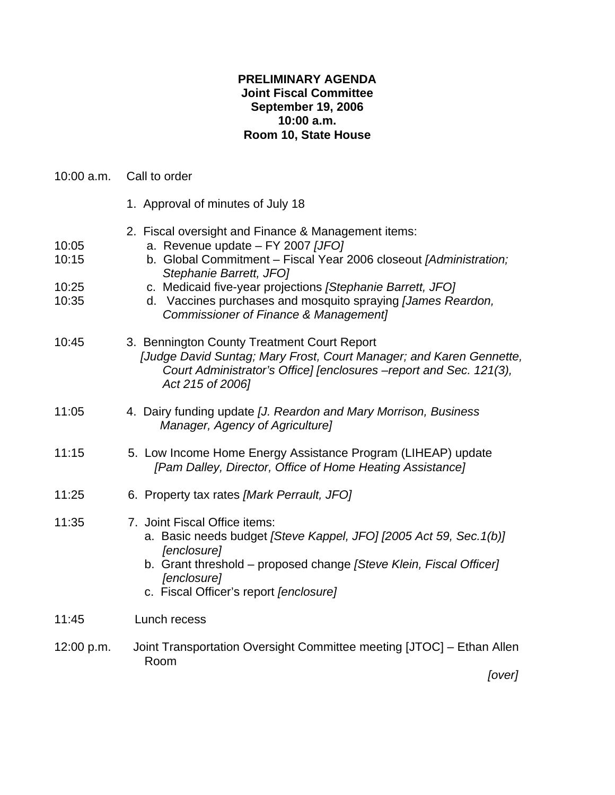## **PRELIMINARY AGENDA Joint Fiscal Committee September 19, 2006 10:00 a.m. Room 10, State House**

|  | 10:00 a.m. | Call to order |
|--|------------|---------------|
|--|------------|---------------|

- 1. Approval of minutes of July 18
- 2. Fiscal oversight and Finance & Management items:
- 10:05 a. Revenue update FY 2007 *[JFO]*
- 10:15b. Global Commitment Fiscal Year 2006 closeout *[Administration; Stephanie Barrett, JFO]*
- 10:25 c. Medicaid five-year projections *[Stephanie Barrett, JFO]*
- 10:35 d. Vaccines purchases and mosquito spraying *[James Reardon, Commissioner of Finance & Management]*
- 10:45 3. Bennington County Treatment Court Report  *[Judge David Suntag; Mary Frost, Court Manager; and Karen Gennette, Court Administrator's Office] [enclosures –report and Sec. 121(3), Act 215 of 2006]*
- 11:05 4. Dairy funding update *[J. Reardon and Mary Morrison, Business Manager, Agency of Agriculture]*
- 11:15 5. Low Income Home Energy Assistance Program (LIHEAP) update *[Pam Dalley, Director, Office of Home Heating Assistance]*
- 11:25 6. Property tax rates *[Mark Perrault, JFO]*
- 11:35 7. Joint Fiscal Office items:
	- a. Basic needs budget *[Steve Kappel, JFO] [2005 Act 59, Sec.1(b)] [enclosure]*
	- b. Grant threshold proposed change *[Steve Klein, Fiscal Officer] [enclosure]*
	- c. Fiscal Officer's report *[enclosure]*
- 11:45 Lunch recess
- 12:00 p.m. Joint Transportation Oversight Committee meeting [JTOC] Ethan Allen Room

*[over]*